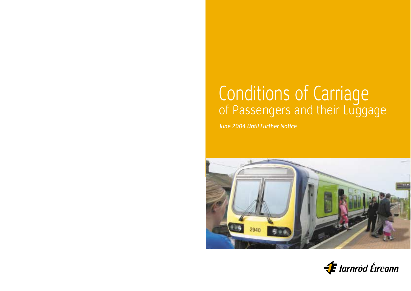# Conditions of Carriage<br>of Passengers and their Luggage

*June 2004 Until Further Notice* 



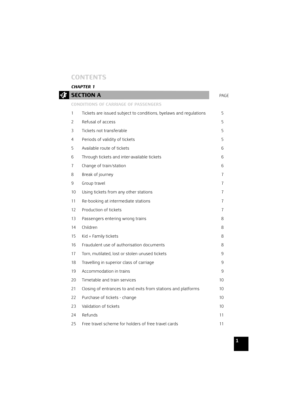# **CONTENTS**

*CHAPTER 1* 

|    | <b>SECTION A</b>                                                  | PAGE |
|----|-------------------------------------------------------------------|------|
|    | <b>CONDITIONS OF CARRIAGE OF PASSENGERS</b>                       |      |
| 1  | Tickets are issued subject to conditions, byelaws and regulations | 5    |
| 2  | Refusal of access                                                 | 5    |
| 3  | Tickets not transferable                                          | 5    |
| 4  | Periods of validity of tickets                                    | 5    |
| 5  | Available route of tickets                                        | 6    |
| 6  | Through tickets and inter-available tickets                       | 6    |
| 7  | Change of train/station                                           | 6    |
| 8  | Break of journey                                                  | 7    |
| 9  | Group travel                                                      | 7    |
| 10 | Using tickets from any other stations                             | 7    |
| 11 | Re-booking at intermediate stations                               | 7    |
| 12 | Production of tickets                                             | 7    |
| 13 | Passengers entering wrong trains                                  | 8    |
| 14 | Children                                                          | 8    |
| 15 | Kid + Family tickets                                              | 8    |
| 16 | Fraudulent use of authorisation documents                         | 8    |
| 17 | Torn, mutilated, lost or stolen unused tickets                    | 9    |
| 18 | Travelling in superior class of carriage                          | 9    |
| 19 | Accommodation in trains                                           | 9    |
| 20 | Timetable and train services                                      | 10   |
| 21 | Closing of entrances to and exits from stations and platforms     | 10   |
| 22 | Purchase of tickets - change                                      | 10   |
| 23 | Validation of tickets                                             | 10   |
| 24 | Refunds                                                           | 11   |
| 25 | Free travel scheme for holders of free travel cards               | 11   |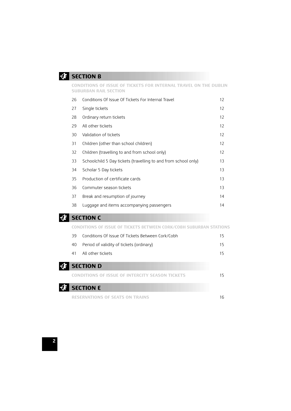# **EXECTION B**

### **CONDITIONS OF ISSUE OF TICKETS FOR INTERNAL TRAVEL ON THE DUBLIN SUBURBAN RAIL SECTION**

| 26 | Conditions Of Issue Of Tickets For Internal Travel             | 12 <sup>2</sup>   |
|----|----------------------------------------------------------------|-------------------|
| 27 | Single tickets                                                 | $12 \overline{ }$ |
| 28 | Ordinary return tickets                                        | $12 \overline{ }$ |
| 29 | All other tickets                                              | $12 \overline{ }$ |
| 30 | Validation of tickets                                          | $12 \overline{ }$ |
| 31 | Children (other than school children)                          | $12 \overline{ }$ |
| 32 | Children (travelling to and from school only)                  | $12 \overline{ }$ |
| 33 | Schoolchild 5 Day tickets (travelling to and from school only) | 13                |
| 34 | Scholar 5 Day tickets                                          | 13                |
| 35 | Production of certificate cards                                | 13                |
| 36 | Commuter season tickets                                        | 13                |
| 37 | Break and resumption of journey                                | 14                |
| 38 | Luggage and items accompanying passengers                      | 14                |

# **EXECTION C**

### **CONDITIONS OF ISSUE OF TICKETS BETWEEN CORK/COBH SUBURBAN STATIONS**

|   | Conditions Of Issue Of Tickets Between Cork/Cobh<br>39 |                                                        | 15 |
|---|--------------------------------------------------------|--------------------------------------------------------|----|
|   | 40                                                     | Period of validity of tickets (ordinary)               | 15 |
|   | 41                                                     | All other tickets                                      | 15 |
| Æ |                                                        | <b>SECTION D</b>                                       |    |
|   |                                                        | <b>CONDITIONS OF ISSUE OF INTERCITY SEASON TICKETS</b> | 15 |
|   |                                                        | <b>SECTION E</b>                                       |    |
|   |                                                        | <b>RESERVATIONS OF SEATS ON TRAINS</b>                 | 16 |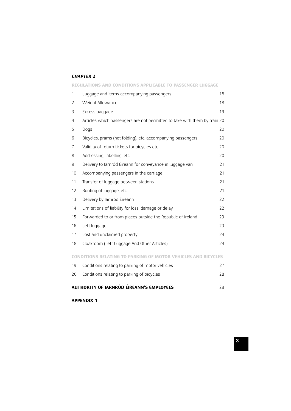### *CHAPTER 2*

|                                                | REGULATIONS AND CONDITIONS APPLICABLE TO PASSENGER LUGGAGE                |    |
|------------------------------------------------|---------------------------------------------------------------------------|----|
| 1                                              | Luggage and items accompanying passengers                                 | 18 |
| 2                                              | Weight Allowance                                                          | 18 |
| 3                                              | Excess baggage                                                            | 19 |
| 4                                              | Articles which passengers are not permitted to take with them by train 20 |    |
| 5                                              | Dogs                                                                      | 20 |
| 6                                              | Bicycles, prams (not folding), etc. accompanying passengers               | 20 |
| $\overline{1}$                                 | Validity of return tickets for bicycles etc                               | 20 |
| 8                                              | Addressing, labelling, etc.                                               | 20 |
| 9                                              | Delivery to larnród Éireann for conveyance in luggage van                 | 21 |
| 10                                             | Accompanying passengers in the carriage                                   | 21 |
| 11                                             | Transfer of luggage between stations                                      | 21 |
| 12                                             | Routing of luggage, etc.                                                  | 21 |
| 13                                             | Delivery by Iarnród Éireann                                               | 22 |
| 14                                             | Limitations of liability for loss, damage or delay                        | 22 |
| 15                                             | Forwarded to or from places outside the Republic of Ireland               | 23 |
| 16                                             | Left luggage                                                              | 23 |
| 17                                             | Lost and unclaimed property                                               | 24 |
| 18                                             | Cloakroom (Left Luggage And Other Articles)                               | 24 |
|                                                | <b>CONDITIONS RELATING TO PARKING OF MOTOR VEHICLES AND BICYCLES</b>      |    |
| 19                                             | Conditions relating to parking of motor vehicles                          | 27 |
| 20                                             | Conditions relating to parking of bicycles                                | 28 |
| AUTHORITY OF IARNRÓD ÉIREANN'S EMPLOYEES<br>28 |                                                                           |    |

## **APPENDIX 1**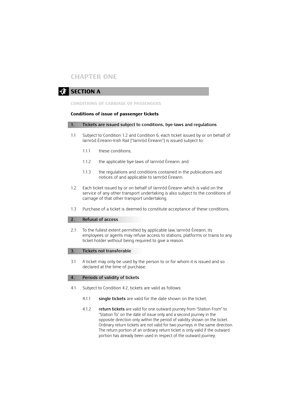# **CHAPTER ONE**

# **EXECTION A**

### **CONDITIONS OF CARRIAGE OF PASSENGERS**

### **Conditions of issue of passenger tickets**

### **1. Tickets are issued subject to conditions, bye-laws and regulations**

- 1.1 Subject to Condition 1.2 and Condition 6, each ticket issued by or on behalf of Iarnród Éireann-Irish Rail ("Iarnród Éireann") is issued subject to:
	- 1.1.1 these conditions;
	- 1.1.2 the applicable bye-laws of Iarnród Éireann; and
	- 1.1.3 the regulations and conditions contained in the publications and notices of and applicable to Iarnród Éireann.
- 1.2 Each ticket issued by or on behalf of Iarnród Éireann which is valid on the service of any other transport undertaking is also subject to the conditions of carriage of that other transport undertaking.
- 1.3 Purchase of a ticket is deemed to constitute acceptance of these conditions.

### **2. Refusal of access**

2.1 To the fullest extent permitted by applicable law, Iarnród Éireann, its employees or agents may refuse access to stations, platforms or trains to any ticket holder without being required to give a reason.

### **3. Tickets not transferable**

3.1 A ticket may only be used by the person to or for whom it is issued and so declared at the time of purchase.

### **4. Periods of validity of tickets**

- 4.1 Subject to Condition 4.2, tickets are valid as follows:
	- 4.1.1 **single tickets** are valid for the date shown on the ticket;
	- 4.1.2 **return tickets** are valid for one outward journey from "Station From" to "Station To" on the date of issue only and a second journey in the opposite direction only within the period of validity shown on the ticket. Ordinary return tickets are not valid for two journeys in the same direction. The return portion of an ordinary return ticket is only valid if the outward portion has already been used in respect of the outward journey;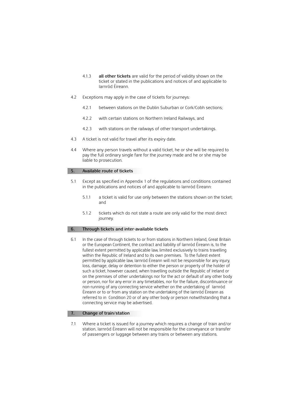- 4.1.3 **all other tickets** are valid for the period of validity shown on the ticket or stated in the publications and notices of and applicable to Iarnród Éireann.
- 4.2 Exceptions may apply in the case of tickets for journeys:
	- 4.2.1 between stations on the Dublin Suburban or Cork/Cobh sections;
	- 4.2.2 with certain stations on Northern Ireland Railways, and
	- 4.2.3 with stations on the railways of other transport undertakings.
- 4.3 A ticket is not valid for travel after its expiry date.
- 4.4 Where any person travels without a valid ticket, he or she will be required to pay the full ordinary single fare for the journey made and he or she may be liable to prosecution.

### **5. Available route of tickets**

- 5.1 Except as specified in Appendix 1 of the regulations and conditions contained in the publications and notices of and applicable to Iarnród Éireann:
	- 5.1.1 a ticket is valid for use only between the stations shown on the ticket; and
	- 5.1.2 tickets which do not state a route are only valid for the most direct journey.

### **6. Through tickets and inter-available tickets**

6.1 In the case of through tickets to or from stations in Northern Ireland, Great Britain or the European Continent, the contract and liability of Iarnród Éireann is, to the fullest extent permitted by applicable law, limited exclusively to trains travelling within the Republic of Ireland and to its own premises. To the fullest extent permitted by applicable law, Iarnród Éireann will not be responsible for any injury, loss, damage, delay or detention to either the person or property of the holder of such a ticket, however caused, when travelling outside the Republic of Ireland or on the premises of other undertakings nor for the act or default of any other body or person, nor for any error in any timetables, nor for the failure, discontinuance or non-running of any connecting service whether on the undertaking of Iarnród Éireann or to or from any station on the undertaking of the Iarnród Éireann as referred to in Condition 20 or of any other body or person notwithstanding that a connecting service may be advertised.

### **7. Change of train/station**

7.1 Where a ticket is issued for a journey which requires a change of train and/or station, Iarnród Éireann will not be responsible for the conveyance or transfer of passengers or luggage between any trains or between any stations.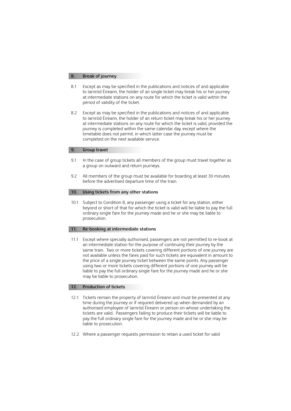### **8. Break of journey**

- 8.1 Except as may be specified in the publications and notices of and applicable to Iarnród Éireann, the holder of an single ticket may break his or her journey at intermediate stations on any route for which the ticket is valid within the period of validity of the ticket.
- 8.2 Except as may be specified in the publications and notices of and applicable to Iarnród Éireann, the holder of an return ticket may break his or her journey at intermediate stations on any route for which the ticket is valid, provided the journey is completed within the same calendar day, except where the timetable does not permit, in which latter case the journey must be completed on the next available service.

### **9. Group travel**

- 9.1 In the case of group tickets all members of the group must travel together as a group on outward and return journeys.
- 9.2 All members of the group must be available for boarding at least 30 minutes before the advertised departure time of the train.

### **10. Using tickets from any other stations**

 beyond or short of that for which the ticket is valid will be liable to pay the full ordinary single fare for the journey made and he or she may be liable to 10.1 Subject to Condition 8, any passenger using a ticket for any station, either prosecution.

### **11. Re-booking at intermediate stations**

 an intermediate station for the purpose of continuing their journey by the same train. Two or more tickets covering different portions of one journey are liable to pay the full ordinary single fare for the journey made and he or she 11.1 Except where specially authorised, passengers are not permitted to re-book at not available unless the fares paid for such tickets are equivalent in amount to the price of a single journey ticket between the same points. Any passenger using two or more tickets covering different portions of one journey will be may be liable to prosecution.

### **12. Production of tickets**

- 12.1 Tickets remain the property of Iarnród Éireann and must be presented at any time during the journey or if required delivered up when demanded by an authorised employee of Iarnród Éireann or person on whose undertaking the tickets are valid. Passengers failing to produce their tickets will be liable to pay the full ordinary single fare for the journey made and he or she may be liable to prosecution.
- 12.2 Where a passenger requests permission to retain a used ticket for valid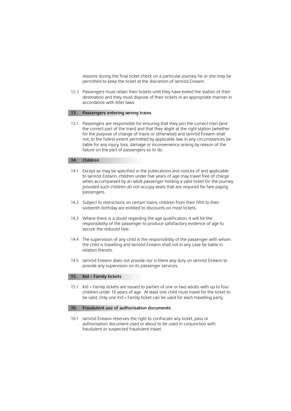reasons during the final ticket check on a particular journey, he or she may be permitted to keep the ticket at the discretion of Iarnród Éireann.

12.3 Passengers must retain their tickets until they have exited the station of their destination and they must dispose of their tickets in an appropriate manner in accordance with litter laws.

### **13. Passengers entering wrong trains**

 not, to the fullest extent permitted by applicable law, in any circumstances be liable for any injury, loss, damage or inconvenience arising by reason of the 13.1 Passengers are responsible for ensuring that they join the correct train (and the correct part of the train) and that they alight at the right station (whether for the purpose of change of trains or otherwise) and Iarnród Éireann shall failure on the part of passengers so to do.

### **14. Children**

- 14.1 Except as may be specified in the publications and notices of and applicable to Iarnród Éireann, children under five years of age may travel free of charge when accompanied by an adult passenger holding a valid ticket for the journey provided such children do not occupy seats that are required for fare paying passengers.
- 14.2 Subject to restrictions on certain trains, children from their fifth to their sixteenth birthday are entitled to discounts on most tickets.
- 14.3 Where there is a doubt regarding the age qualification, it will be the responsibility of the passenger to produce satisfactory evidence of age to secure the reduced fare.
- 14.4 The supervision of any child is the responsibility of the passenger with whom the child is travelling and Iarnród Éireann shall not in any case be liable in relation thereto.
- 14.5 Iarnród Éireann does not provide nor is there any duty on Iarnród Éireann to provide any supervision on its passenger services.

### **15. Kid + Family tickets**

15.1 Kid + Family tickets are issued to parties of one or two adults with up to four children under 16 years of age. At least one child must travel for the ticket to be valid. Only one Kid + Family ticket can be used for each travelling party.

### **16. Fraudulent use of authorisation documents**

 authorisation document used or about to be used in conjunction with 16.1 Iarnród Éireann reserves the right to confiscate any ticket, pass or fraudulent or suspected fraudulent travel.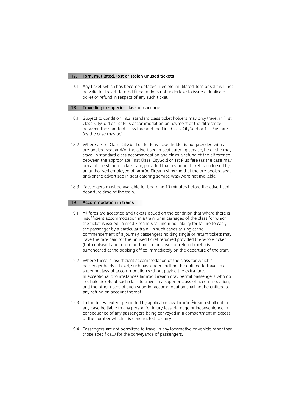### **17. Torn, mutilated, lost or stolen unused tickets**

17.1 Any ticket, which has become defaced, illegible, mutilated, torn or split will not be valid for travel. Iarnród Éireann does not undertake to issue a duplicate ticket or refund in respect of any such ticket.

### **18. Travelling in superior class of carriage**

- 18.1 Subject to Condition 19.2, standard class ticket holders may only travel in First Class, CityGold or 1st Plus accommodation on payment of the difference between the standard class fare and the First Class, CityGold or 1st Plus fare (as the case may be).
- 18.2 Where a First Class, CityGold or 1st Plus ticket holder is not provided with a pre-booked seat and/or the advertised in-seat catering service, he or she may travel in standard class accommodation and claim a refund of the difference between the appropriate First Class, CityGold or 1st Plus fare (as the case may be) and the standard class fare, provided that his or her ticket is endorsed by an authorised employee of Iarnród Éireann showing that the pre-booked seat and/or the advertised in-seat catering service was/were not available.
- 18.3 Passengers must be available for boarding 10 minutes before the advertised departure time of the train.

### **19. Accommodation in trains**

- 19.1 All fares are accepted and tickets issued on the condition that where there is insufficient accommodation in a train, or in carriages of the class for which the ticket is issued, Iarnród Éireann shall incur no liability for failure to carry the passenger by a particular train. In such cases arising at the commencement of a journey, passengers holding single or return tickets may have the fare paid for the unused ticket returned provided the whole ticket (both outward and return portions in the cases of return tickets) is surrendered at the booking office immediately on the departure of the train.
- 19.2 Where there is insufficient accommodation of the class for which a passenger holds a ticket, such passenger shall not be entitled to travel in a superior class of accommodation without paying the extra fare. In exceptional circumstances Iarnród Éireann may permit passengers who do not hold tickets of such class to travel in a superior class of accommodation, and the other users of such superior accommodation shall not be entitled to any refund on account thereof.
- 19.3 To the fullest extent permitted by applicable law, Iarnród Éireann shall not in any case be liable to any person for injury, loss, damage or inconvenience in consequence of any passengers being conveyed in a compartment in excess of the number which it is constructed to carry.
- 19.4 Passengers are not permitted to travel in any locomotive or vehicle other than those specifically for the conveyance of passengers.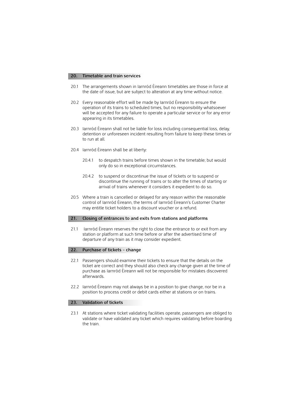### **20. Timetable and train services**

- the date of issue, but are subject to alteration at any time without notice. 20.1 The arrangements shown in Iarnród Éireann timetables are those in force at
- operation of its trains to scheduled times, but no responsibility whatsoever 20.2 Every reasonable effort will be made by Iarnród Éireann to ensure the will be accepted for any failure to operate a particular service or for any error appearing in its timetables.
- detention or unforeseen incident resulting from failure to keep these times or 20.3 Iarnród Éireann shall not be liable for loss including consequential loss, delay, to run at all.
- 20.4 Iarnród Éireann shall be at liberty:
	- 20.4.1 to despatch trains before times shown in the timetable; but would only do so in exceptional circumstances.
	- 20.4.2 to suspend or discontinue the issue of tickets or to suspend or discontinue the running of trains or to alter the times of starting or arrival of trains whenever it considers it expedient to do so.
- may entitle ticket holders to a discount voucher or a refund. 20.5 Where a train is cancelled or delayed for any reason within the reasonable control of Iarnród Éireann, the terms of Iarnród Éireann's Customer Charter

### **21. Closing of entrances to and exits from stations and platforms**

 21.1 Iarnród Éireann reserves the right to close the entrance to or exit from any station or platform at such time before or after the advertised time of departure of any train as it may consider expedient.

### **22. Purchase of tickets – change**

- 22.1 Passengers should examine their tickets to ensure that the details on the ticket are correct and they should also check any change given at the time of purchase as Iarnród Éireann will not be responsible for mistakes discovered afterwards.
- 22.2 Iarnród Éireann may not always be in a position to give change, nor be in a position to process credit or debit cards either at stations or on trains.

### **23. Validation of tickets**

23.1 At stations where ticket validating facilities operate, passengers are obliged to validate or have validated any ticket which requires validating before boarding the train.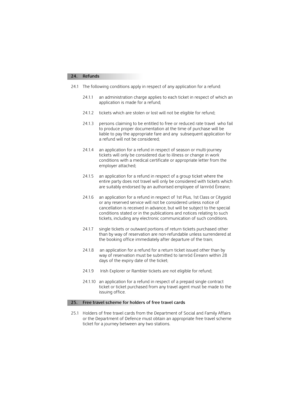### **24. Refunds**

- 24.1 The following conditions apply in respect of any application for a refund:
	- 24.1.1 an administration charge applies to each ticket in respect of which an application is made for a refund;
	- 24.1.2 tickets which are stolen or lost will not be eligible for refund;
	- 24.1.3 persons claiming to be entitled to free or reduced rate travel who fail to produce proper documentation at the time of purchase will be liable to pay the appropriate fare and any subsequent application for a refund will not be considered;
	- conditions with a medical certificate or appropriate letter from the 24.1.4 an application for a refund in respect of season or multi-journey tickets will only be considered due to illness or change in work employer attached;
	- entire party does not travel will only be considered with tickets which 24.1.5 an application for a refund in respect of a group ticket where the are suitably endorsed by an authorised employee of Iarnród Éireann;
	- cancellation is received in advance, but will be subject to the special 24.1.6 an application for a refund in respect of 1st Plus, 1st Class or Citygold or any reserved service will not be considered unless notice of conditions stated or in the publications and notices relating to such tickets, including any electronic communication of such conditions.
	- 24.1.7 single tickets or outward portions of return tickets purchased other than by way of reservation are non-refundable unless surrendered at the booking office immediately after departure of the train;
	- 24.1.8 an application for a refund for a return ticket issued other than by way of reservation must be submitted to Iarnród Éireann within 28 days of the expiry date of the ticket;
	- 24.1.9 Irish Explorer or Rambler tickets are not eligible for refund;
	- ticket or ticket purchased from any travel agent must be made to the 24.1.10 an application for a refund in respect of a prepaid single contract issuing office.

### **25. Free travel scheme for holders of free travel cards**

 25.1 Holders of free travel cards from the Department of Social and Family Affairs ticket for a journey between any two stations. or the Department of Defence must obtain an appropriate free travel scheme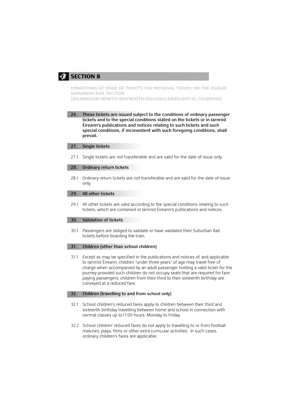# **SECTION B**

**CONDITIONS OF ISSUE OF TICKETS FOR INTERNAL TRAVEL ON THE DUBLIN SUBURBAN RAIL SECTION (BALBRIGGAN/HOWTH/MAYNOOTH/KILCOOLE/HAZELHATCH, CELBRIDGE)** 

**26. These tickets are issued subject to the conditions of ordinary passenger tickets and to the special conditions stated on the tickets or in Iarnród Éireann's publications and notices relating to such tickets and such special conditions, if inconsistent with such foregoing conditions, shall prevail.** 

### **27. Single tickets**

27.1 Single tickets are not transferable and are valid for the date of issue only.

### **28. Ordinary return tickets**

28.1 Ordinary return tickets are not transferable and are valid for the date of issue only.

### **29. All other tickets**

 29.1 All other tickets are valid according to the special conditions relating to such tickets, which are contained in Iarnród Éireann's publications and notices.

### **30. Validation of tickets**

30.1 Passengers are obliged to validate or have validated their Suburban Rail tickets before boarding the train.

### **31. Children (other than school children)**

31.1 Except as may be specified in the publications and notices of, and applicable to Iarnród Éireann, children "under three years" of age may travel free of charge when accompanied by an adult passenger holding a valid ticket for the journey provided such children do not occupy seats that are required for farepaying passengers; children from their third to their sixteenth birthday are conveyed at a reduced fare.

### **32. Children (travelling to and from school only)**

- 32.1 School children's reduced fares apply to children between their third and sixteenth birthday travelling between home and school in connection with normal classes up to17:00 hours, Monday to Friday.
- 32.2 School children' reduced fares do not apply to travelling to or from football matches, plays, films or other extra curricular activities. In such cases, ordinary children's fares are applicable.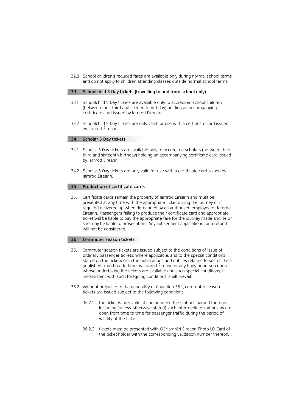32.3 School children's reduced fares are available only during normal school terms and do not apply to children attending classes outside normal school terms.

### **33. Schoolchild 5 Day tickets (travelling to and from school only)**

- 33.1 Schoolchild 5 Day tickets are available only to accredited school children (between their third and sixteenth birthday) holding an accompanying certificate card issued by Iarnród Éireann.
- 33.2 Schoolchlid 5 Day tickets are only valid for use with a certificate card issued by Iarnród Éireann.

### **34. Scholar 5 Day tickets**

- 34.1 Scholar 5 Day tickets are available only to accredited scholars (between their third and sixteenth birthday) holding an accompanying certificate card issued by Iarnród Éireann.
- 34.2 Scholar 5 Day tickets are only valid for use with a certificate card issued by Iarnród Éireann.

### **35. Production of certificate cards**

35.1 Certificate cards remain the property of Iarnród Éireann and must be presented at any time with the appropriate ticket during the journey or if required delivered up when demanded by an authorised employee of Iarnród Éireann. Passengers failing to produce their certificate card and appropriate ticket will be liable to pay the appropriate fare for the journey made and he or she may be liable to prosecution. Any subsequent applications for a refund will not be considered.

### **36. Commuter season tickets**

- 36.1 Commuter season tickets are issued subject to the conditions of issue of ordinary passenger tickets, where applicable, and to the special conditions stated on the tickets or in the publications and notices relating to such tickets published from time to time by Iarnród Éireann or any body or person upon whose undertaking the tickets are available and such special conditions, if inconsistent with such foregoing conditions, shall prevail.
- 36.2 Without prejudice to the generality of Condition 36.1, commuter season tickets are issued subject to the following conditions:
	- open from time to time for passenger traffic during the period of 36.2.1 the ticket is only valid at and between the stations named thereon including (unless otherwise stated) such intermediate stations as are validity of the ticket;
	- 36.2.2 36.2.2 tickets must be presented with CIE/Iarnród Éireann Photo I.D. Card of the ticket holder with the corresponding validation number thereon;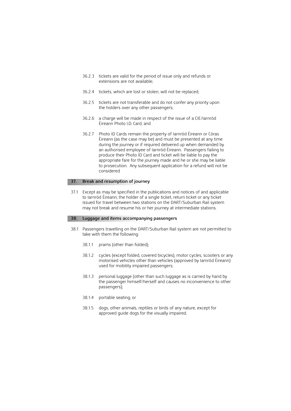- 36.2.3 tickets are valid for the period of issue only and refunds or extensions are not available;
- 36.2.4 tickets, which are lost or stolen, will not be replaced;
- 36.2.5 tickets are not transferable and do not confer any priority upon the holders over any other passengers;
- 36.2.6 a charge will be made in respect of the issue of a CIE/Iarnród Éireann Photo I.D. Card; and
- 36.2.7 Photo ID Cards remain the property of Iarnród Éireann or Córas Éireann (as the case may be) and must be presented at any time during the journey or if required delivered up when demanded by an authorised employee of Iarnród Éireann. Passengers failing to produce their Photo ID Card and ticket will be liable to pay the appropriate fare for the journey made and he or she may be liable to prosecution. Any subsequent application for a refund will not be considered

### **37. Break and resumption of journey**

 issued for travel between two stations on the DART/Suburban Rail system 37.1 Except as may be specified in the publications and notices of and applicable to Iarnród Éireann, the holder of a single ticket, return ticket or any ticket may not break and resume his or her journey at intermediate stations.

### **38. Luggage and items accompanying passengers**

- 38.1 Passengers travelling on the DART/Suburban Rail system are not permitted to take with them the following:
	- 38.1.1 prams (other than folded);
	- 38.1.2 cycles (except folded, covered bicycles), motor cycles, scooters or any motorised vehicles other than vehicles (approved by Iarnród Éireann) used for mobility impaired passengers;
	- 38.1.3 personal luggage (other than such luggage as is carried by hand by the passenger himself/herself and causes no inconvenience to other passengers);
	- 38.1.4 portable seating; or
	- 38.1.5 dogs, other animals, reptiles or birds of any nature, except for approved guide dogs for the visually impaired.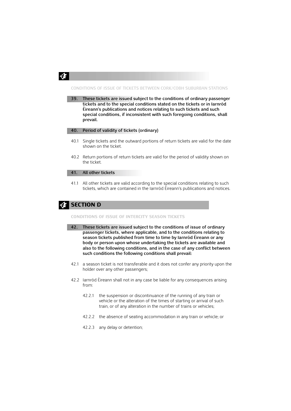

### **CONDITIONS OF ISSUE OF TICKETS BETWEEN CORK/COBH SUBURBAN STATIONS**

**39. These tickets are issued subject to the conditions of ordinary passenger tickets and to the special conditions stated on the tickets or in Iarnród Éireann's publications and notices relating to such tickets and such special conditions, if inconsistent with such foregoing conditions, shall prevail.** 

### **40. Period of validity of tickets (ordinary)**

- 40.1 Single tickets and the outward portions of return tickets are valid for the date shown on the ticket.
- 40.2 Return portions of return tickets are valid for the period of validity shown on the ticket.

### **41. All other tickets**

 41.1 All other tickets are valid according to the special conditions relating to such tickets, which are contained in the Iarnród Éireann's publications and notices.

# **EFTION D**

### **CONDITIONS OF ISSUE OF INTERCITY SEASON TICKETS**

- **42. These tickets are issued subject to the conditions of issue of ordinary passenger tickets, where applicable, and to the conditions relating to season tickets published from time to time by Iarnród Éireann or any body or person upon whose undertaking the tickets are available and also to the following conditions, and in the case of any conflict between such conditions the following conditions shall prevail:**
- 42.1 a season ticket is not transferable and it does not confer any priority upon the holder over any other passengers;
- 42.2 Iarnród Éireann shall not in any case be liable for any consequences arising from:
	- 42.2.1 the suspension or discontinuance of the running of any train or vehicle or the alteration of the times of starting or arrival of such train, or of any alteration in the number of trains or vehicles;
	- 42.2.2 the absence of seating accommodation in any train or vehicle; or
	- 42.2.3 any delay or detention;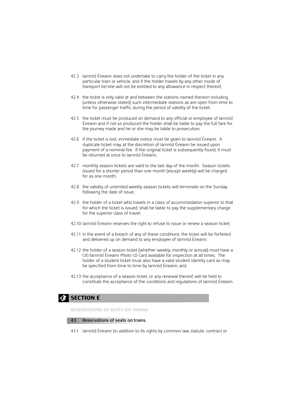- particular train or vehicle, and if the holder travels by any other mode of 42.3 Iarnród Éireann does not undertake to carry the holder of the ticket in any transport he/she will not be entitled to any allowance in respect thereof;
- 42.4 the ticket is only valid at and between the stations named thereon including (unless otherwise stated) such intermediate stations as are open from time to time for passenger traffic during the period of validity of the ticket;
- Éireann and if not so produced the holder shall be liable to pay the full fare for 42.5 the ticket must be produced on demand to any official or employee of Iarnród the journey made and he or she may be liable to prosecution;
- 42.6 if the ticket is lost, immediate notice must be given to Iarnród Éireann. A duplicate ticket may, at the discretion of Iarnród Éireann be issued upon payment of a nominal fee. If the original ticket is subsequently found, it must be returned at once to Iarnród Éireann;
- 42.7 monthly season tickets are valid to the last day of the month. Season tickets issued for a shorter period than one month (except weekly) will be charged for as one month;
- 42.8 the validity of unlimited weekly season tickets will terminate on the Sunday following the date of issue;
- 42.9 the holder of a ticket who travels in a class of accommodation superior to that for which the ticket is issued, shall be liable to pay the supplementary charge for the superior class of travel;
- 42.10 Iarnród Éireann reserves the right to refuse to issue or renew a season ticket;
- 42.11 in the event of a breach of any of these conditions, the ticket will be forfeited and delivered up on demand to any employee of Iarnród Éireann;
- CIE/Iarnród Éireann Photo I.D Card available for inspection at all times. The holder of a student ticket must also have a valid student identity card as may be specified from time to time by Iarnród Éireann; and 42.12 the holder of a season ticket (whether weekly, monthly or annual) must have a
- 42.13 the acceptance of a season ticket, or any renewal thereof, will be held to constitute the acceptance of the conditions and regulations of Iarnród Éireann.

# **E SECTION E**

**RESERVATIONS OF SEATS ON TRAINS** 

### **43. Reservations of seats on trains.**

43.1 Iarnród Éireann (in addition to its rights by common law, statute, contract or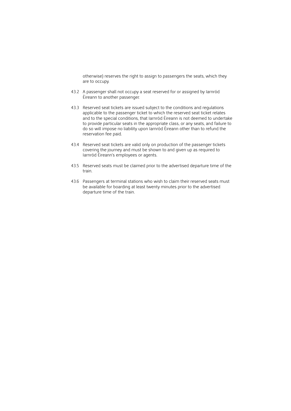otherwise) reserves the right to assign to passengers the seats, which they are to occupy.

- 43.2 A passenger shall not occupy a seat reserved for or assigned by Iarnród Éireann to another passenger.
- 43.3 Reserved seat tickets are issued subject to the conditions and regulations applicable to the passenger ticket to which the reserved seat ticket relates and to the special conditions, that Iarnród Éireann is not deemed to undertake to provide particular seats in the appropriate class, or any seats, and failure to do so will impose no liability upon Iarnród Éireann other than to refund the reservation fee paid.
- 43.4 Reserved seat tickets are valid only on production of the passenger tickets covering the journey and must be shown to and given up as required to Iarnród Éireann's employees or agents.
- 43.5 Reserved seats must be claimed prior to the advertised departure time of the train.
- be available for boarding at least twenty minutes prior to the advertised 43.6 Passengers at terminal stations who wish to claim their reserved seats must departure time of the train.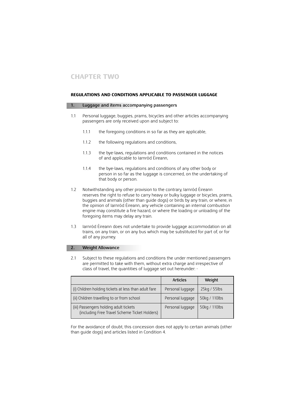### **REGULATIONS AND CONDITIONS APPLICABLE TO PASSENGER LUGGAGE**

### **1. Luggage and items accompanying passengers**

- 1.1 Personal luggage, buggies, prams, bicycles and other articles accompanying passengers are only received upon and subject to:
	- 1.1.1 the foregoing conditions in so far as they are applicable,
	- 112 the following regulations and conditions,
	- 1.1.3 the bye-laws, regulations and conditions contained in the notices of and applicable to Iarnród Éireann,
	- 1.1.4 the bye-laws, regulations and conditions of any other body or person in so far as the luggage is concerned, on the undertaking of that body or person.
- reserves the right to refuse to carry heavy or bulky luggage or bicycles, prams, 1.2 Notwithstanding any other provision to the contrary, Iarnród Éireann buggies and animals (other than guide dogs) or birds by any train, or where, in the opinion of Iarnród Éireann, any vehicle containing an internal combustion engine may constitute a fire hazard, or where the loading or unloading of the foregoing items may delay any train.
- 1.3 Iarnród Éireann does not undertake to provide luggage accommodation on all trains, on any train, or on any bus which may be substituted for part of, or for all of any journey.

### **2. Weight Allowance**

 2.1 Subject to these regulations and conditions the under mentioned passengers are permitted to take with them, without extra charge and irrespective of class of travel, the quantities of luggage set out hereunder: -

|                                                                                         | <b>Articles</b>  | Weight        |
|-----------------------------------------------------------------------------------------|------------------|---------------|
| (i) Children holding tickets at less than adult fare                                    | Personal luggage | 25kg / 55lbs  |
| (ii) Children travelling to or from school                                              | Personal luggage | 50kg / 110lbs |
| (iii) Passengers holding adult tickets<br>(including Free Travel Scheme Ticket Holders) | Personal luggage | 50kg / 110lbs |

For the avoidance of doubt, this concession does not apply to certain animals (other than guide dogs) and articles listed in Condition 4.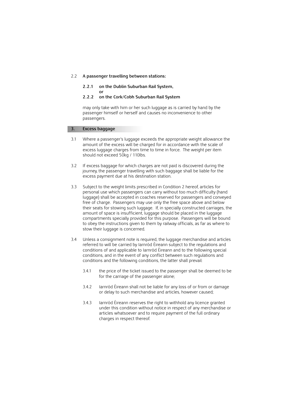### 2.2 **A passenger travelling between stations:**

### **2.2.1 on the Dublin Suburban Rail System, or**

### **2.2.2 on the Cork/Cobh Suburban Rail System**

 may only take with him or her such luggage as is carried by hand by the passenger himself or herself and causes no inconvenience to other passengers.

### **3. Excess baggage**

- excess luggage charges from time to time in force. The weight per item 3.1 Where a passenger's luggage exceeds the appropriate weight allowance the amount of the excess will be charged for in accordance with the scale of should not exceed 50kg / 110lbs.
- journey, the passenger travelling with such baggage shall be liable for the 3.2 If excess baggage for which charges are not paid is discovered during the excess payment due at his destination station.
- 3.3 Subject to the weight limits prescribed in Condition 2 hereof, articles for personal use which passengers can carry without too much difficulty (hand their seats for stowing such luggage. If, in specially constructed carriages, the to obey the instructions given to them by railway officials, as far as where to luggage) shall be accepted in coaches reserved for passengers and conveyed free of charge. Passengers may use only the free space above and below amount of space is insufficient, luggage should be placed in the luggage compartments specially provided for this purpose. Passengers will be bound stow their luggage is concerned.
- referred to will be carried by Iarnród Éireann subject to the regulations and conditions of and applicable to Iarnród Éireann and to the following special 3.4 Unless a consignment note is required, the luggage merchandise and articles conditions, and in the event of any conflict between such regulations and conditions and the following conditions, the latter shall prevail:
	- 3.4.1 the price of the ticket issued to the passenger shall be deemed to be for the carriage of the passenger alone;
	- 3.4.2 Iarnród Éireann shall not be liable for any loss of or from or damage or delay to such merchandise and articles, however caused;
	- 3.4.3 Iarnród Éireann reserves the right to withhold any licence granted under this condition without notice in respect of any merchandise or articles whatsoever and to require payment of the full ordinary charges in respect thereof.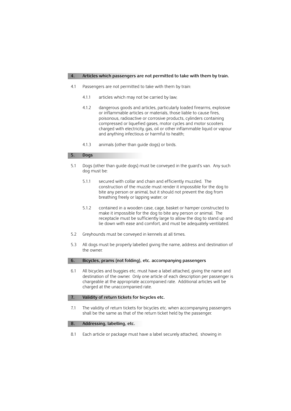### **4. Articles which passengers are not permitted to take with them by train.**

- 4.1 Passengers are not permitted to take with them by train:
	- 4.1.1 articles which may not be carried by law;
	- or inflammable articles or materials, those liable to cause fires, charged with electricity, gas, oil or other inflammable liquid or vapour 4.1.2 dangerous goods and articles, particularly loaded firearms, explosive poisonous, radioactive or corrosive products, cylinders containing compressed or liquefied gases, motor cycles and motor scooters and anything infectious or harmful to health;
	- 4.1.3 animals (other than guide dogs) or birds.

### **5. Dogs**

- 5.1 Dogs (other than guide dogs) must be conveyed in the guard's van. Any such dog must be:
	- 5.1.1 secured with collar and chain and efficiently muzzled. The construction of the muzzle must render it impossible for the dog to bite any person or animal, but it should not prevent the dog from breathing freely or lapping water; or
	- make it impossible for the dog to bite any person or animal. The receptacle must be sufficiently large to allow the dog to stand up and 5.1.2 contained in a wooden case, cage, basket or hamper constructed to lie down with ease and comfort, and must be adequately ventilated.
- Greyhounds must be conveyed in kennels at all times.
- the owner. 5.2 Greyhounds must be conveyed in kennels at all times.<br>5.3 All dogs must be properly labelled giving the name, address and destination of

### **6. Bicycles, prams (not folding), etc. accompanying passengers**

 6.1 All bicycles and buggies etc. must have a label attached, giving the name and destination of the owner. Only one article of each description per passenger is chargeable at the appropriate accompanied rate. Additional articles will be charged at the unaccompanied rate.

### **7. Validity of return tickets for bicycles etc.**

 shall be the same as that of the return ticket held by the passenger. 7.1 The validity of return tickets for bicycles etc. when accompanying passengers

### **8. Addressing, labelling, etc.**

8.1 Each article or package must have a label securely attached, showing in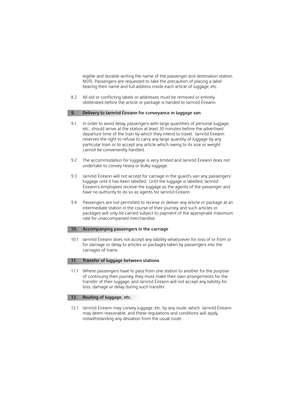NOTE: Passengers are requested to take the precaution of placing a label bearing their name and full address inside each article of luggage, etc. legible and durable writing the name of the passenger and destination station.

8.2 All old or conflicting labels or addresses must be removed or entirely obliterated before the article or package is handed to Iarnród Éireann.

### **9. Delivery to Iarnród Éireann for conveyance in luggage van**

- departure time of the train by which they intend to travel. Iarnród Éireann reserves the right to refuse to carry any large quantity of luggage by any particular train or to accept any article which owing to its size or weight 9.1 In order to avoid delay, passengers with large quantities of personal luggage, etc., should arrive at the station at least 30 minutes before the advertised cannot be conveniently handled.
- 9.2 The accommodation for luggage is very limited and Iarnród Éireann does not undertake to convey heavy or bulky luggage.
- 9.3 Iarnród Éireann will not accept for carriage in the guard's van any passengers' luggage until it has been labelled. Until the luggage is labelled, Iarnród Éireann's employees receive the luggage as the agents of the passenger and have no authority to do so as agents for Iarnród Éireann.
- 9.4 Passengers are not permitted to receive or deliver any article or package at an intermediate station in the course of their journey, and such articles or packages will only be carried subject to payment of the appropriate maximum rate for unaccompanied merchandise.

### **10. Accompanying passengers in the carriage**

10.1 Iarnród Éireann does not accept any liability whatsoever for loss of or from or for damage or delay to articles or packages taken by passengers into the carriages of trains.

### **11. Transfer of luggage between stations**

 11.1 Where passengers have to pass from one station to another for the purpose of continuing their journey, they must make their own arrangements for the transfer of their luggage, and Iarnród Éireann will not accept any liability for loss, damage or delay during such transfer.

### **12. Routing of luggage, etc.**

 notwithstanding any deviation from the usual route. 12.1 Iarnród Éireann may convey luggage, etc. by any route, which Iarnród Éireann may deem reasonable, and these regulations and conditions will apply,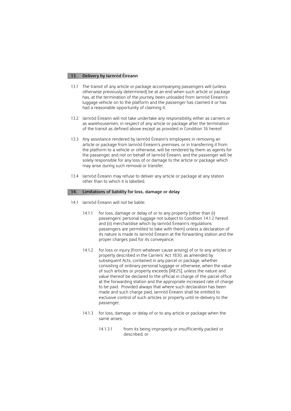### **13. Delivery by Iarnród Éireann**

- 13.1 The transit of any article or package accompanying passengers will (unless otherwise previously determined) be at an end when such article or package has, at the termination of the journey, been unloaded from Iarnród Éireann's luggage vehicle on to the platform and the passenger has claimed it or has had a reasonable opportunity of claiming it.
- 13.2 Iarnród Éireann will not take undertake any responsibility, either as carriers or of the transit as defined above except as provided in Condition 16 hereof. as warehousemen, in respect of any article or package after the termination
- solely responsible for any loss of or damage to the article or package which 13.3 Any assistance rendered by Iarnród Éireann's employees in removing an article or package from Iarnród Éireann's premises, or in transferring it from the platform to a vehicle or otherwise, will be rendered by them as agents for the passenger, and not on behalf of Iarnród Éireann, and the passenger will be may arise during such removal or transfer.
- 13.4 Iarnród Éireann may refuse to deliver any article or package at any station other than to which it is labelled.

### **14. Limitations of liability for loss, damage or delay**

- 14.1 Iarnród Éireann will not be liable:
	- 14.1.1 for loss, damage or delay of or to any property (other than (i) passengers' personal luggage not subject to Condition 14.1.2 hereof, and (ii) merchandise which by Iarnród Éireann's regulations passengers are permitted to take with them) unless a declaration of its nature is made to Iarnród Éireann at the forwarding station and the proper charges paid for its conveyance;
	- value thereof be declared to the official in charge of the parcel office to be paid. Provided always that where such declaration has been exclusive control of such articles or property until re-delivery to the 14.1.2 for loss or injury (from whatever cause arising) of or to any articles or property described in the Carriers' Act 1830, as amended by subsequent Acts, contained in any parcel or package, whether consisting of ordinary personal luggage or otherwise, when the value of such articles or property exceeds [IR£25], unless the nature and at the forwarding station and the appropriate increased rate of charge made and such charge paid, Iarnród Éireann shall be entitled to passenger;
	- 14.1.3 for loss, damage, or delay of or to any article or package when the same arises:
		- 14.1.3.1 from its being improperly or insufficiently packed or described; or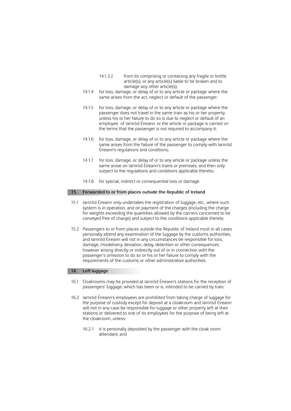- 14.1.3.2 from its comprising or containing any fragile or brittle article(s), or any article(s) liable to be broken and to damage any other article(s);
- same arises from the act, neglect or default of the passenger; 14.1.4 for loss, damage, or delay of or to any article or package where the
- 14.1.5 for loss, damage, or delay of or to any article or package where the passenger does not travel in the same train as his or her property, unless his or her failure to do so is due to neglect or default of an employee of Iarnród Éireann, or the article or package is carried on the terms that the passenger is not required to accompany it;
- same arises from the failure of the passenger to comply with Iarnród 14.1.6 for loss, damage, or delay of or to any article or package where the Éireann's regulations and conditions;
- same arose on Iarnród Éireann's trains or premises, and then only subject to the regulations and conditions applicable thereto; 14.1.7 for loss, damage, or delay of or to any article or package unless the
- 14.1.8 for special, indirect or consequential loss or damage.

### **15. Forwarded to or from places outside the Republic of Ireland**

- for weights exceeding the quantities allowed by the carriers concerned to be conveyed free of charge) and subject to the conditions applicable thereto. 15.1 Iarnród Éireann only undertakes the registration of luggage, etc., where such system is in operation, and on payment of the charges (including the charge
- 15.2 Passengers to or from places outside the Republic of Ireland must in all cases personally attend any examination of the luggage by the customs authorities, passenger's omission to do so or his or her failure to comply with the and Iarnród Éireann will not in any circumstances be responsible for loss, damage, misdelivery, deviation, delay, detention or other consequences however arising directly or indirectly out of or in connection with the requirements of the customs or other administrative authorities.

### **16. Left luggage**

- 16.1 Cloakrooms may be provided at Iarnród Éireann's stations for the reception of passengers' luggage, which has been or is, intended to be carried by train.
- stations or delivered to one of its employees for the purpose of being left at 16.2 Iarnród Éireann's employees are prohibited from taking charge of luggage for the purpose of custody except for deposit at a cloakroom and Iarnród Éireann will not in any case be responsible for luggage or other property left at their the cloakroom, unless:
	- 16.2.1 it is personally deposited by the passenger with the cloak room attendant; and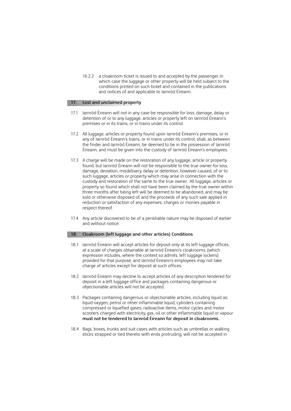16.2.2 a cloakroom ticket is issued to and accepted by the passenger, in which case the luggage or other property will be held subject to the conditions printed on such ticket and contained in the publications and notices of and applicable to Iarnród Éireann.

### **17. Lost and unclaimed property**

- 17.1 Iarnród Éireann will not in any case be responsible for loss, damage, delay or detention of or to any luggage, articles or property left on Iarnród Éireann's premises or in its trains, or in trains under its control.
- 17.2 All luggage, articles or property found upon Iarnród Éireann's premises, or in any of Iarnród Éireann's trains, or in trains under its control, shall, as between the finder and Iarnród Éireann, be deemed to be in the possession of Iarnród Éireann, and must be given into the custody of Iarnród Éireann's employees.
- found, but Iarnród Éireann will not be responsible to the true owner for loss, custody and restoration of the same to the true owner. All luggage, articles or property so found which shall not have been claimed by the true owner within 17.3 A charge will be made on the restoration of any luggage, article or property damage, deviation, misdelivery, delay or detention, however caused, of or to such luggage, articles or property which may arise in connection with the three months after being left will be deemed to be abandoned, and may be sold or otherwise disposed of, and the proceeds of any such sale applied in reduction or satisfaction of any expenses, charges or monies payable in respect thereof.
- 17.4 Any article discovered to be of a perishable nature may be disposed of earlier and without notice.

### **18. Cloakroom (left luggage and other articles) Conditions**

- 18.1 Iarnród Éireann will accept articles for deposit only at its left luggage offices, at a scale of charges obtainable at Iarnród Éireann's cloakrooms, (which expression includes, where the context so admits, left luggage lockers) provided for that purpose, and Iarnród Éireann's employees may not take charge of articles except for deposit at such offices.
- 18.2 Iarnród Éireann may decline to accept articles of any description tendered for deposit in a left luggage office and packages containing dangerous or objectionable articles will not be accepted.
- scooters charged with electricity, gas, oil or other inflammable liquid or vapour 18.3 Packages containing dangerous or objectionable articles, including liquid air, liquid oxygen, petrol or other inflammable liquid, cylinders containing compressed or liquefied gases, radioactive items, motor cycles and motor **must not be tendered to Iarnród Éireann for deposit in cloakrooms.**
- sticks strapped or tied thereto with ends protruding, will not be accepted in 18.4 Bags, boxes, trunks and suit cases with articles such as umbrellas or walking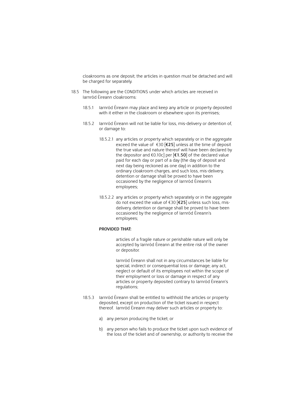cloakrooms as one deposit; the articles in question must be detached and will be charged for separately.

- 18.5 The following are the CONDITIONS under which articles are received in Iarnród Éireann cloakrooms:
	- 18.5.1 Iarnród Éireann may place and keep any article or property deposited with it either in the cloakroom or elsewhere upon its premises;
	- 18.5.2 Iarnród Éireann will not be liable for loss, mis-delivery or detention of, or damage to:
		- exceed the value of €30 [**€25**] unless at the time of deposit next day being reckoned as one day) in addition to the 18.5.2.1 any articles or property which separately or in the aggregate the true value and nature thereof will have been declared by the depositor and €0.10c] per [**€1.50**] of the declared value paid for each day or part of a day (the day of deposit and ordinary cloakroom charges, and such loss, mis-delivery, detention or damage shall be proved to have been occasioned by the negligence of Iarnród Éireann's employees;
		- 18.5.2.2 any articles or property which separately or in the aggregate do not exceed the value of €30 [**€25**] unless such loss, misdelivery, detention or damage shall be proved to have been occasioned by the negligence of Iarnród Éireann's employees;

### **PROVIDED THAT:**

articles of a fragile nature or perishable nature will only be accepted by Iarnród Éireann at the entire risk of the owner or depositor.

Iarnród Éireann shall not in any circumstances be liable for special, indirect or consequential loss or damage; any act, neglect or default of its employees not within the scope of their employment or loss or damage in respect of any articles or property deposited contrary to Iarnród Éireann's regulations;

- deposited, except on production of the ticket issued in respect 18.5.3 Iarnród Éireann shall be entitled to withhold the articles or property thereof. Iarnród Éireann may deliver such articles or property to:
	- a) any person producing the ticket; or
	- b) any person who fails to produce the ticket upon such evidence of the loss of the ticket and of ownership, or authority to receive the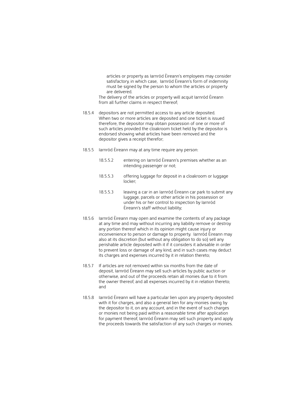articles or property as Iarnród Éireann's employees may consider satisfactory, in which case, Iarnród Éireann's form of indemnity must be signed by the person to whom the articles or property are delivered.

 from all further claims in respect thereof; The delivery of the articles or property will acquit Iarnród Éireann

- When two or more articles are deposited and one ticket is issued such articles provided the cloakroom ticket held by the depositor is 18.5.4 depositors are not permitted access to any article deposited. therefore, the depositor may obtain possession of one or more of endorsed showing what articles have been removed and the depositor gives a receipt therefor;
- 18.5.5 Iarnród Éireann may at any time require any person:
	- 18.5.5.2 entering on Iarnród Éireann's premises whether as an intending passenger or not;
	- 18.5.5.3 offering luggage for deposit in a cloakroom or luggage locker;
	- under his or her control to inspection by Iarnród 18.5.5.3 leaving a car in an Iarnród Éireann car park to submit any luggage, parcels or other article in his possession or Éireann's staff without liability;
- inconvenience to person or damage to property. Iarnród Éireann may also at its discretion (but without any obligation to do so) sell any perishable article deposited with it if it considers it advisable in order 18.5.6 Iarnród Éireann may open and examine the contents of any package at any time and may without incurring any liability remove or destroy any portion thereof which in its opinion might cause injury or to prevent loss or damage of any kind, and in such cases may deduct its charges and expenses incurred by it in relation thereto;
- 18.5.7 If articles are not removed within six months from the date of otherwise, and out of the proceeds retain all monies due to it from deposit, Iarnród Éireann may sell such articles by public auction or the owner thereof, and all expenses incurred by it in relation thereto; and
- 18.5.8 Iarnród Éireann will have a particular lien upon any property deposited with it for charges, and also a general lien for any monies owing by the depositor to it, on any account, and in the event of such charges or monies not being paid within a reasonable time after application for payment thereof, Iarnród Éireann may sell such property and apply the proceeds towards the satisfaction of any such charges or monies.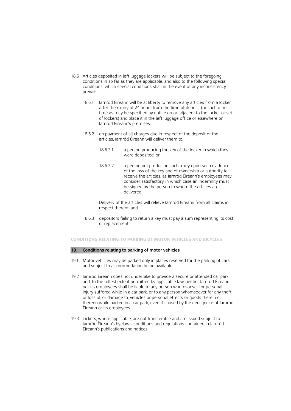- 18.6 Articles deposited in left luggage lockers will be subject to the foregoing conditions in so far as they are applicable, and also to the following special conditions, which special conditions shall in the event of any inconsistency prevail:
	- 18.6.1 Iarnród Éireann will be at liberty to remove any articles from a locker after the expiry of 24 hours from the time of deposit (or such other time as may be specified by notice on or adjacent to the locker or set of lockers) and place it in the left luggage office or elsewhere on Iarnród Éireann's premises;
	- 18.6.2 on payment of all charges due in respect of the deposit of the articles, Iarnród Éireann will deliver them to:
		- 18.6.2.1 a person producing the key of the locker in which they were deposited; or
		- 18.6.2.2 a person not producing such a key upon such evidence of the loss of the key and of ownership or authority to receive the articles, as Iarnród Éireann's employees may consider satisfactory, in which case an indemnity must be signed by the person to whom the articles are delivered.

 Delivery of the articles will relieve Iarnród Éireann from all claims in respect thereof; and

18.6.3 depositors failing to return a key must pay a sum representing its cost or replacement.

### **CONDITIONS RELATING TO PARKING OF MOTOR VEHICLES AND BICYCLES**

### **19. Conditions relating to parking of motor vehicles**

- 19.1 Motor vehicles may be parked only in places reserved for the parking of cars and subject to accommodation being available.
- and, to the fullest extent permitted by applicable law, neither Iarnród Éireann thereon while parked in a car park, even if caused by the negligence of Iarnród 19.2 Iarnród Éireann does not undertake to provide a secure or attended car park nor its employees shall be liable to any person whomsoever for personal injury suffered while in a car park, or to any person whomsoever for any theft or loss of, or damage to, vehicles or personal effects or goods therein or Éireann or its employees.
- 19.3 Tickets, where applicable, are not transferable and are issued subject to Iarnród Éireann's byelaws, conditions and regulations contained in Iarnród Éireann's publications and notices.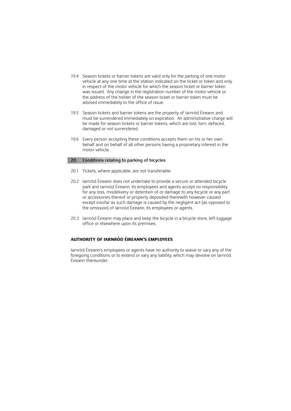- 19.4 Season tickets or barrier tokens are valid only for the parking of one motor advised immediately to the office of issue. vehicle at any one time at the station indicated on the ticket or token and only in respect of the motor vehicle for which the season ticket or barrier token was issued. Any change in the registration number of the motor vehicle or the address of the holder of the season ticket or barrier token must be
- 19.5 Season tickets and barrier tokens are the property of Iarnród Éireann and be made for season tickets or barrier tokens, which are lost, torn, defaced, must be surrendered immediately on expiration. An administrative charge will damaged or not surrendered.
- 19.6 Every person accepting these conditions accepts them on his or her own behalf and on behalf of all other persons having a proprietary interest in the motor vehicle.

### **20. Conditions relating to parking of bicycles**

- 20.1 Tickets, where applicable, are not transferable.
- 20.2 Iarnród Éireann does not undertake to provide a secure or attended bicycle park and Iarnród Éireann, its employees and agents accept no responsibility for any loss, misdelivery or detention of or damage to any bicycle or any part or accessories thereof or property deposited therewith however caused except insofar as such damage is caused by the negligent act (as opposed to the omission) of Iarnród Éireann, its employees or agents.
- 20.3 Iarnród Éireann may place and keep the bicycle in a bicycle store, left luggage office or elsewhere upon its premises.

## **AUTHORITY OF IARNRÓD ÉIREANN'S EMPLOYEES**

 foregoing conditions or to extend or vary any liability, which may devolve on Iarnród Iarnród Éireann's employees or agents have no authority to waive or vary any of the Éireann thereunder.